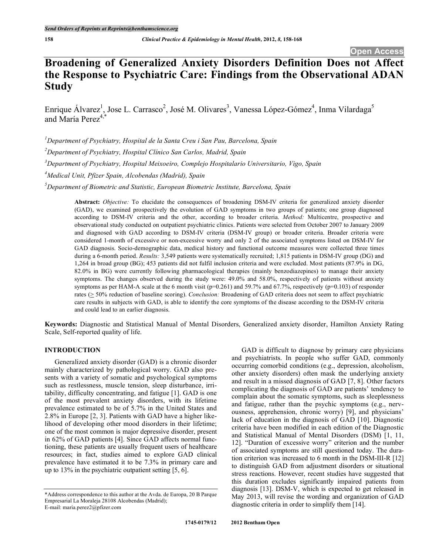# **Broadening of Generalized Anxiety Disorders Definition Does not Affect the Response to Psychiatric Care: Findings from the Observational ADAN Study**

Enrique Álvarez<sup>1</sup>, Jose L. Carrasco<sup>2</sup>, José M. Olivares<sup>3</sup>, Vanessa López-Gómez<sup>4</sup>, Inma Vilardaga<sup>5</sup> and María Perez 4,\*

*1 Department of Psychiatry, Hospital de la Santa Creu i San Pau, Barcelona, Spain*

*2 Department of Psychiatry, Hospital Clínico San Carlos, Madrid, Spain*

*3 Department of Psychiatry, Hospital Meixoeiro, Complejo Hospitalario Universitario, Vigo, Spain*

*4 Medical Unit, Pfizer Spain, Alcobendas (Madrid), Spain*

*5 Department of Biometric and Statistic, European Biometric Institute, Barcelona, Spain*

**Abstract:** *Objective:* To elucidate the consequences of broadening DSM-IV criteria for generalized anxiety disorder (GAD), we examined prospectively the evolution of GAD symptoms in two groups of patients; one group diagnosed according to DSM-IV criteria and the other, according to broader criteria. *Method:* Multicentre, prospective and observational study conducted on outpatient psychiatric clinics. Patients were selected from October 2007 to January 2009 and diagnosed with GAD according to DSM-IV criteria (DSM-IV group) or broader criteria. Broader criteria were considered 1-month of excessive or non-excessive worry and only 2 of the associated symptoms listed on DSM-IV for GAD diagnosis. Socio-demographic data, medical history and functional outcome measures were collected three times during a 6-month period. *Results:* 3,549 patients were systematically recruited; 1,815 patients in DSM-IV group (DG) and 1,264 in broad group (BG); 453 patients did not fulfil inclusion criteria and were excluded. Most patients (87.9% in DG, 82.0% in BG) were currently following pharmacological therapies (mainly benzodiazepines) to manage their anxiety symptoms. The changes observed during the study were: 49.0% and 58.0%, respectively of patients without anxiety symptoms as per HAM-A scale at the 6 month visit ( $p=0.261$ ) and 59.7% and 67.7%, respectively ( $p=0.103$ ) of responder rates (> 50% reduction of baseline scoring). *Conclusion:* Broadening of GAD criteria does not seem to affect psychiatric care results in subjects with GAD, is able to identify the core symptoms of the disease according to the DSM-IV criteria and could lead to an earlier diagnosis.

**Keywords:** Diagnostic and Statistical Manual of Mental Disorders, Generalized anxiety disorder, Hamilton Anxiety Rating Scale, Self-reported quality of life.

# **INTRODUCTION**

Generalized anxiety disorder (GAD) is a chronic disorder mainly characterized by pathological worry. GAD also presents with a variety of somatic and psychological symptoms such as restlessness, muscle tension, sleep disturbance, irritability, difficulty concentrating, and fatigue [1]. GAD is one of the most prevalent anxiety disorders, with its lifetime prevalence estimated to be of 5.7% in the United States and 2.8% in Europe [2, 3]. Patients with GAD have a higher likelihood of developing other mood disorders in their lifetime; one of the most common is major depressive disorder, present in 62% of GAD patients [4]. Since GAD affects normal functioning, these patients are usually frequent users of healthcare resources; in fact, studies aimed to explore GAD clinical prevalence have estimated it to be 7.3% in primary care and up to 13% in the psychiatric outpatient setting [5, 6].

GAD is difficult to diagnose by primary care physicians and psychiatrists. In people who suffer GAD, commonly occurring comorbid conditions (e.g., depression, alcoholism, other anxiety disorders) often mask the underlying anxiety and result in a missed diagnosis of GAD [7, 8]. Other factors complicating the diagnosis of GAD are patients' tendency to complain about the somatic symptoms, such as sleeplessness and fatigue, rather than the psychic symptoms (e.g., nervousness, apprehension, chronic worry) [9], and physicians' lack of education in the diagnosis of GAD [10]. Diagnostic criteria have been modified in each edition of the Diagnostic and Statistical Manual of Mental Disorders (DSM) [1, 11, 12]. "Duration of excessive worry" criterion and the number of associated symptoms are still questioned today. The duration criterion was increased to 6 month in the DSM-III-R [12] to distinguish GAD from adjustment disorders or situational stress reactions. However, recent studies have suggested that this duration excludes significantly impaired patients from diagnosis [13]. DSM-V, which is expected to get released in May 2013, will revise the wording and organization of GAD diagnostic criteria in order to simplify them [14].

<sup>\*</sup>Address correspondence to this author at the Avda. de Europa, 20 B Parque Empresarial La Moraleja 28108 Alcobendas (Madrid); E-mail: maria.perez2@pfizer.com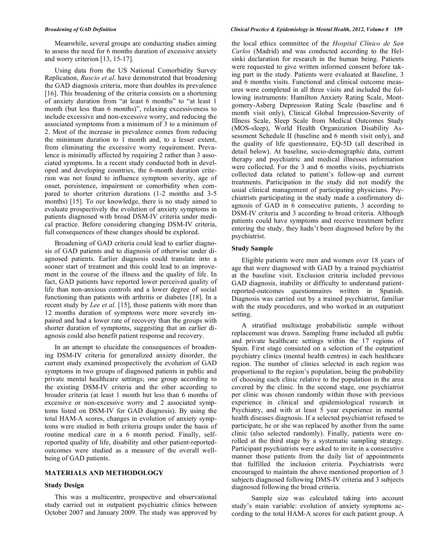Meanwhile, several groups are conducting studies aiming to assess the need for 6 months duration of excessive anxiety and worry criterion [13, 15-17].

Using data from the US National Comorbidity Survey Replication, *Ruscio et al*. have demonstrated that broadening the GAD diagnosis criteria, more than doubles its prevalence [16]. This broadening of the criteria consists on a shortening of anxiety duration from "at least 6 months" to "at least 1 month (but less than 6 months)", relaxing excessiveness to include excessive and non-excessive worry, and reducing the associated symptoms from a minimum of 3 to a minimum of 2. Most of the increase in prevalence comes from reducing the minimum duration to 1 month and, to a lesser extent, from eliminating the excessive worry requirement. Prevalence is minimally affected by requiring 2 rather than 3 associated symptoms. In a recent study conducted both in developed and developing countries, the 6-month duration criterion was not found to influence symptom severity, age of onset, persistence, impairment or comorbidity when compared to shorter criterion durations (1-2 months and 3-5 months) [15]. To our knowledge, there is no study aimed to evaluate prospectively the evolution of anxiety symptoms in patients diagnosed with broad DSM-IV criteria under medical practice. Before considering changing DSM-IV criteria, full consequences of these changes should be explored.

Broadening of GAD criteria could lead to earlier diagnosis of GAD patients and to diagnosis of otherwise under diagnosed patients. Earlier diagnosis could translate into a sooner start of treatment and this could lead to an improvement in the course of the illness and the quality of life. In fact, GAD patients have reported lower perceived quality of life than non-anxious controls and a lower degree of social functioning than patients with arthritis or diabetes [18]. In a recent study by *Lee et al.* [15], those patients with more than 12 months duration of symptoms were more severely impaired and had a lower rate of recovery than the groups with shorter duration of symptoms, suggesting that an earlier diagnosis could also benefit patient response and recovery.

In an attempt to elucidate the consequences of broadening DSM-IV criteria for generalized anxiety disorder, the current study examined prospectively the evolution of GAD symptoms in two groups of diagnosed patients in public and private mental healthcare settings; one group according to the existing DSM-IV criteria and the other according to broader criteria (at least 1 month but less than 6 months of excessive or non-excessive worry and 2 associated symptoms listed on DSM-IV for GAD diagnosis). By using the total HAM-A scores, changes in evolution of anxiety symptoms were studied in both criteria groups under the basis of routine medical care in a 6 month period. Finally, selfreported quality of life, disability and other patient-reportedoutcomes were studied as a measure of the overall wellbeing of GAD patients.

# **MATERIALS AND METHODOLOGY**

# **Study Design**

This was a multicentre, prospective and observational study carried out in outpatient psychiatric clinics between October 2007 and January 2009. The study was approved by

#### *Broadening of GAD Definition Clinical Practice & Epidemiology in Mental Health, 2012, Volume 8* **159**

the local ethics committee of the *Hospital Clínico de San Carlos* (Madrid) and was conducted according to the Helsinki declaration for research in the human being. Patients were requested to give written informed consent before taking part in the study. Patients were evaluated at Baseline, 3 and 6 months visits. Functional and clinical outcome measures were completed in all three visits and included the following instruments: Hamilton Anxiety Rating Scale, Montgomery-Asberg Depression Rating Scale (baseline and 6 month visit only), Clinical Global Impression-Severity of Illness Scale, Sleep Scale from Medical Outcomes Study (MOS-sleep), World Health Organization Disability Assessment Schedule II (baseline and 6 month visit only), and the quality of life questionnaire, EQ-5D (all described in detail below). At baseline, socio-demographic data, current therapy and psychiatric and medical illnesses information were collected. For the 3 and 6 months visits, psychiatrists collected data related to patient's follow-up and current treatments. Participation in the study did not modify the usual clinical management of participating physicians. Psychiatrists participating in the study made a confirmatory diagnosis of GAD in 6 consecutive patients, 3 according to DSM-IV criteria and 3 according to broad criteria. Although patients could have symptoms and receive treatment before entering the study, they hadn't been diagnosed before by the psychiatrist.

#### **Study Sample**

Eligible patients were men and women over 18 years of age that were diagnosed with GAD by a trained psychiatrist at the baseline visit. Exclusion criteria included previous GAD diagnosis, inability or difficulty to understand patientreported-outcomes questionnaires written in Spanish. Diagnosis was carried out by a trained psychiatrist, familiar with the study procedures, and who worked in an outpatient setting.

A stratified multistage probabilistic sample without replacement was drawn. Sampling frame included all public and private healthcare settings within the 17 regions of Spain. First stage consisted on a selection of the outpatient psychiatry clinics (mental health centres) in each healthcare region. The number of clinics selected in each region was proportional to the region's population, being the probability of choosing each clinic relative to the population in the area covered by the clinic. In the second stage, one psychiatrist per clinic was chosen randomly within those with previous experience in clinical and epidemiological research in Psychiatry, and with at least 5 year experience in mental health diseases diagnosis. If a selected psychiatrist refused to participate, he or she was replaced by another from the same clinic (also selected randomly). Finally, patients were enrolled at the third stage by a systematic sampling strategy. Participant psychiatrists were asked to invite in a consecutive manner those patients from the daily list of appointments that fulfilled the inclusion criteria. Psychiatrists were encouraged to maintain the above mentioned proportion of 3 subjects diagnosed following DMS-IV criteria and 3 subjects diagnosed following the broad criteria.

Sample size was calculated taking into account study's main variable: evolution of anxiety symptoms according to the total HAM-A scores for each patient group. A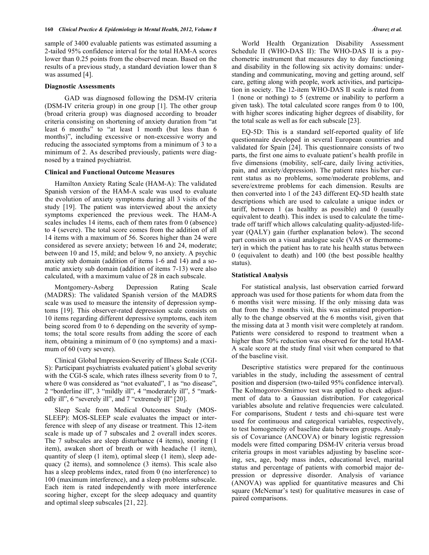sample of 3400 evaluable patients was estimated assuming a 2-tailed 95% confidence interval for the total HAM-A scores lower than 0.25 points from the observed mean. Based on the results of a previous study, a standard deviation lower than 8 was assumed [4].

#### **Diagnostic Assessments**

GAD was diagnosed following the DSM-IV criteria (DSM-IV criteria group) in one group [1]. The other group (broad criteria group) was diagnosed according to broader criteria consisting on shortening of anxiety duration from "at least 6 months" to "at least 1 month (but less than 6 months)", including excessive or non-excessive worry and reducing the associated symptoms from a minimum of 3 to a minimum of 2. As described previously, patients were diagnosed by a trained psychiatrist.

#### **Clinical and Functional Outcome Measures**

Hamilton Anxiety Rating Scale (HAM-A): The validated Spanish version of the HAM-A scale was used to evaluate the evolution of anxiety symptoms during all 3 visits of the study [19]. The patient was interviewed about the anxiety symptoms experienced the previous week. The HAM-A scales includes 14 items, each of them rates from 0 (absence) to 4 (severe). The total score comes from the addition of all 14 items with a maximum of 56. Scores higher than 24 were considered as severe anxiety; between 16 and 24, moderate; between 10 and 15, mild; and below 9, no anxiety. A psychic anxiety sub domain (addition of items 1-6 and 14) and a somatic anxiety sub domain (addition of items 7-13) were also calculated, with a maximum value of 28 in each subscale.

Montgomery-Asberg Depression Rating Scale (MADRS): The validated Spanish version of the MADRS scale was used to measure the intensity of depression symptoms [19]. This observer-rated depression scale consists on 10 items regarding different depressive symptoms, each item being scored from 0 to 6 depending on the severity of symptoms; the total score results from adding the score of each item, obtaining a minimum of 0 (no symptoms) and a maximum of 60 (very severe).

Clinical Global Impression-Severity of Illness Scale (CGI-S): Participant psychiatrists evaluated patient's global severity with the CGI-S scale, which rates illness severity from 0 to 7, where 0 was considered as "not evaluated", 1 as "no disease", 2 "borderline ill", 3 "mildly ill", 4 "moderately ill", 5 "markedly ill", 6 "severely ill", and 7 "extremely ill" [20].

Sleep Scale from Medical Outcomes Study (MOS-SLEEP): MOS-SLEEP scale evaluates the impact or interference with sleep of any disease or treatment. This 12-item scale is made up of 7 subscales and 2 overall index scores. The 7 subscales are sleep disturbance (4 items), snoring (1 item), awaken short of breath or with headache (1 item), quantity of sleep (1 item), optimal sleep (1 item), sleep adequacy (2 items), and somnolence (3 items). This scale also has a sleep problems index, rated from 0 (no interference) to 100 (maximum interference), and a sleep problems subscale. Each item is rated independently with more interference scoring higher, except for the sleep adequacy and quantity and optimal sleep subscales [21, 22].

World Health Organization Disability Assessment Schedule II (WHO-DAS II): The WHO-DAS II is a psychometric instrument that measures day to day functioning and disability in the following six activity domains: understanding and communicating, moving and getting around, self care, getting along with people, work activities, and participation in society. The 12-item WHO-DAS II scale is rated from 1 (none or nothing) to 5 (extreme or inability to perform a given task). The total calculated score ranges from 0 to 100, with higher scores indicating higher degrees of disability, for the total scale as well as for each subscale [23].

EQ-5D: This is a standard self-reported quality of life questionnaire developed in several European countries and validated for Spain [24]. This questionnaire consists of two parts, the first one aims to evaluate patient's health profile in five dimensions (mobility, self-care, daily living activities, pain, and anxiety/depression). The patient rates his/her current status as no problems, some/moderate problems, and severe/extreme problems for each dimension. Results are then converted into 1 of the 243 different EQ-5D health state descriptions which are used to calculate a unique index or tariff, between 1 (as healthy as possible) and 0 (usually equivalent to death). This index is used to calculate the timetrade off tariff which allows calculating quality-adjusted-lifeyear (QALY) gain (further explanation below). The second part consists on a visual analogue scale (VAS or thermometer) in which the patient has to rate his health status between 0 (equivalent to death) and 100 (the best possible healthy status).

#### **Statistical Analysis**

For statistical analysis, last observation carried forward approach was used for those patients for whom data from the 6 months visit were missing. If the only missing data was that from the 3 months visit, this was estimated proportionally to the change observed at the 6 months visit, given that the missing data at 3 month visit were completely at random. Patients were considered to respond to treatment when a higher than 50% reduction was observed for the total HAM-A scale score at the study final visit when compared to that of the baseline visit.

Descriptive statistics were prepared for the continuous variables in the study, including the assessment of central position and dispersion (two-tailed 95% confidence interval). The Kolmogorov-Smirnov test was applied to check adjustment of data to a Gaussian distribution. For categorical variables absolute and relative frequencies were calculated. For comparisons, Student *t* tests and chi-square test were used for continuous and categorical variables, respectively, to test homogeneity of baseline data between groups. Analysis of Covariance (ANCOVA) or binary logistic regression models were fitted comparing DSM-IV criteria versus broad criteria groups in most variables adjusting by baseline scoring, sex, age, body mass index, educational level, marital status and percentage of patients with comorbid major depression or depressive disorder. Analysis of variance (ANOVA) was applied for quantitative measures and Chi square (McNemar's test) for qualitative measures in case of paired comparisons.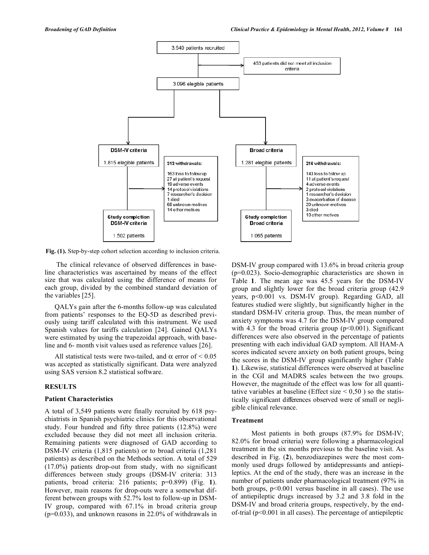

**Fig. (1).** Step-by-step cohort selection according to inclusion criteria.

The clinical relevance of observed differences in baseline characteristics was ascertained by means of the effect size that was calculated using the difference of means for each group, divided by the combined standard deviation of the variables [25].

QALYs gain after the 6-months follow-up was calculated from patients' responses to the EQ-5D as described previously using tariff calculated with this instrument. We used Spanish values for tariffs calculation [24]. Gained QALYs were estimated by using the trapezoidal approach, with baseline and 6- month visit values used as reference values [26].

All statistical tests were two-tailed, and  $\alpha$  error of < 0.05 was accepted as statistically significant. Data were analyzed using SAS version 8.2 statistical software.

### **RESULTS**

#### **Patient Characteristics**

A total of 3,549 patients were finally recruited by 618 psychiatrists in Spanish psychiatric clinics for this observational study. Four hundred and fifty three patients (12.8%) were excluded because they did not meet all inclusion criteria. Remaining patients were diagnosed of GAD according to DSM-IV criteria (1,815 patients) or to broad criteria (1,281 patients) as described on the Methods section. A total of 529 (17.0%) patients drop-out from study, with no significant differences between study groups (DSM-IV criteria: 313 patients, broad criteria: 216 patients; p=0.899) (Fig. **1**). However, main reasons for drop-outs were a somewhat different between groups with 52.7% lost to follow-up in DSM-IV group, compared with 67.1% in broad criteria group (p=0.033), and unknown reasons in 22.0% of withdrawals in DSM-IV group compared with 13.6% in broad criteria group (p=0.023). Socio-demographic characteristics are shown in Table **1**. The mean age was 45.5 years for the DSM-IV group and slightly lower for the broad criteria group (42.9 years, p<0.001 vs. DSM-IV group). Regarding GAD, all features studied were slightly, but significantly higher in the standard DSM-IV criteria group. Thus, the mean number of anxiety symptoms was 4.7 for the DSM-IV group compared with 4.3 for the broad criteria group  $(p<0.001)$ . Significant differences were also observed in the percentage of patients presenting with each individual GAD symptom. All HAM-A scores indicated severe anxiety on both patient groups, being the scores in the DSM-IV group significantly higher (Table **1**). Likewise, statistical differences were observed at baseline in the CGI and MADRS scales between the two groups. However, the magnitude of the effect was low for all quantitative variables at baseline (Effect size  $< 0.50$ ) so the statistically significant differences observed were of small or negligible clinical relevance.

#### **Treatment**

Most patients in both groups (87.9% for DSM-IV; 82.0% for broad criteria) were following a pharmacological treatment in the six months previous to the baseline visit. As described in Fig. (**2**), benzodiazepines were the most commonly used drugs followed by antidepressants and antiepileptics. At the end of the study, there was an increase in the number of patients under pharmacological treatment (97% in both groups, p<0.001 versus baseline in all cases). The use of antiepileptic drugs increased by 3.2 and 3.8 fold in the DSM-IV and broad criteria groups, respectively, by the endof-trial (p<0.001 in all cases). The percentage of antiepileptic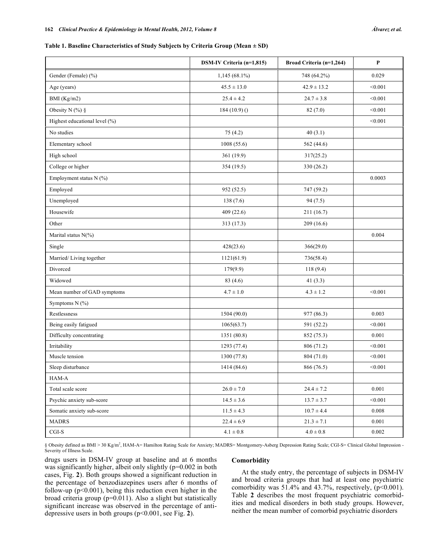#### **Table 1. Baseline Characteristics of Study Subjects by Criteria Group (Mean ± SD)**

|                               | DSM-IV Criteria (n=1,815) | Broad Criteria (n=1,264) | P         |
|-------------------------------|---------------------------|--------------------------|-----------|
| Gender (Female) (%)           | $1,145(68.1\%)$           | 748 (64.2%)              | 0.029     |
| Age (years)                   | $45.5 \pm 13.0$           | $42.9 \pm 13.2$          | < 0.001   |
| BMI (Kg/m2)                   | $25.4 \pm 4.2$            | $24.7 \pm 3.8$           | < 0.001   |
| Obesity N $(\%)$ §            | $184(10.9)$ ()            | 82(7.0)                  | < 0.001   |
| Highest educational level (%) |                           |                          | < 0.001   |
| No studies                    | 75(4.2)                   | 40(3.1)                  |           |
| Elementary school             | 1008(55.6)                | 562 (44.6)               |           |
| High school                   | 361 (19.9)                | 317(25.2)                |           |
| College or higher             | 354 (19.5)                | 330 (26.2)               |           |
| Employment status N (%)       |                           |                          | 0.0003    |
| Employed                      | 952 (52.5)                | 747 (59.2)               |           |
| Unemployed                    | 138(7.6)                  | 94(7.5)                  |           |
| Housewife                     | 409(22.6)                 | 211 (16.7)               |           |
| Other                         | 313 (17.3)                | 209(16.6)                |           |
| Marital status N(%)           |                           |                          | 0.004     |
| Single                        | 428(23.6)                 | 366(29.0)                |           |
| Married/Living together       | 1121(61.9)                | 736(58.4)                |           |
| Divorced                      | 179(9.9)                  | 118(9.4)                 |           |
| Widowed                       | 83(4.6)                   | 41 $(3.3)$               |           |
| Mean number of GAD symptoms   | $4.7 \pm 1.0$             | $4.3 \pm 1.2$            | < 0.001   |
| Symptoms N (%)                |                           |                          |           |
| Restlessness                  | 1504 (90.0)               | 977 (86.3)               | 0.003     |
| Being easily fatigued         | 1065(63.7)                | 591 (52.2)               | < 0.001   |
| Difficulty concentrating      | 1351 (80.8)               | 852 (75.3)               | 0.001     |
| Irritability                  | 1293(77.4)                | 806 (71.2)               | < 0.001   |
| Muscle tension                | 1300 (77.8)               | 804 (71.0)               | < 0.001   |
| Sleep disturbance             | 1414 (84.6)               | 866 (76.5)               | < 0.001   |
| HAM-A                         |                           |                          |           |
| Total scale score             | $26.0\pm7.0$              | $24.4 \pm 7.2$           | 0.001     |
| Psychic anxiety sub-score     | $14.5 \pm 3.6$            | $13.7 \pm 3.7$           | < 0.001   |
| Somatic anxiety sub-score     | $11.5\pm4.3$              | $10.7\pm4.4$             | 0.008     |
| <b>MADRS</b>                  | $22.4 \pm 6.9$            | $21.3 \pm 7.1$           | $0.001\,$ |
| $CGI-S$                       | $4.1 \pm 0.8$             | $4.0 \pm 0.8$            | 0.002     |

§ Obesity defined as BMI > 30 Kg/m<sup>2</sup>, HAM-A= Hamilton Rating Scale for Anxiety; MADRS= Montgomery-Asberg Depression Rating Scale; CGI-S= Clinical Global Impression -Severity of Illness Scale.

drugs users in DSM-IV group at baseline and at 6 months was significantly higher, albeit only slightly (p=0.002 in both cases, Fig. **2**). Both groups showed a significant reduction in the percentage of benzodiazepines users after 6 months of follow-up ( $p<0.001$ ), being this reduction even higher in the broad criteria group (p=0.011). Also a slight but statistically significant increase was observed in the percentage of antidepressive users in both groups (p<0.001, see Fig. **2**).

#### **Comorbidity**

At the study entry, the percentage of subjects in DSM-IV and broad criteria groups that had at least one psychiatric comorbidity was  $51.4\%$  and  $43.7\%$ , respectively, (p<0.001). Table **2** describes the most frequent psychiatric comorbidities and medical disorders in both study groups. However, neither the mean number of comorbid psychiatric disorders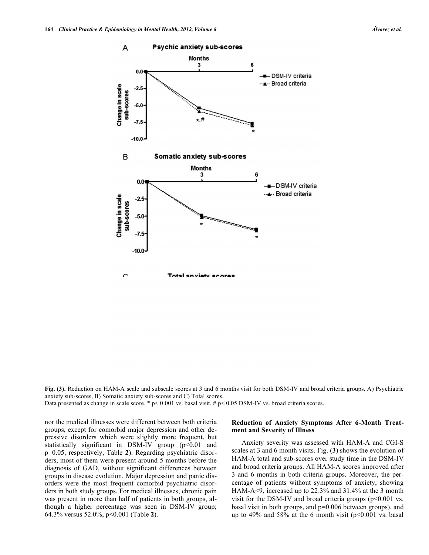**Fig. (3).** Reduction on HAM-A scale and subscale scores at 3 and 6 months visit for both DSM-IV and broad criteria groups. A) Psychiatric anxiety sub-scores, B) Somatic anxiety sub-scores and C) Total scores.

Data presented as change in scale score. \*  $p< 0.001$  vs. basal visit, #  $p< 0.05$  DSM-IV vs. broad criteria scores.

nor the medical illnesses were different between both criteria groups, except for comorbid major depression and other depressive disorders which were slightly more frequent, but statistically significant in DSM-IV group  $(p<0.01$  and p=0.05, respectively, Table **2**). Regarding psychiatric disorders, most of them were present around 5 months before the diagnosis of GAD, without significant differences between groups in disease evolution. Major depression and panic disorders were the most frequent comorbid psychiatric disorders in both study groups. For medical illnesses, chronic pain was present in more than half of patients in both groups, although a higher percentage was seen in DSM-IV group; 64.3% versus 52.0%, p<0.001 (Table **2**).

# **Reduction of Anxiety Symptoms After 6-Month Treatment and Severity of Illness**

Anxiety severity was assessed with HAM-A and CGI-S scales at 3 and 6 month visits. Fig. (**3**) shows the evolution of HAM-A total and sub-scores over study time in the DSM-IV and broad criteria groups. All HAM-A scores improved after 3 and 6 months in both criteria groups. Moreover, the percentage of patients without symptoms of anxiety, showing HAM-A<9, increased up to 22.3% and 31.4% at the 3 month visit for the DSM-IV and broad criteria groups  $(p<0.001$  vs. basal visit in both groups, and p=0.006 between groups), and up to 49% and 58% at the 6 month visit  $(p<0.001$  vs. basal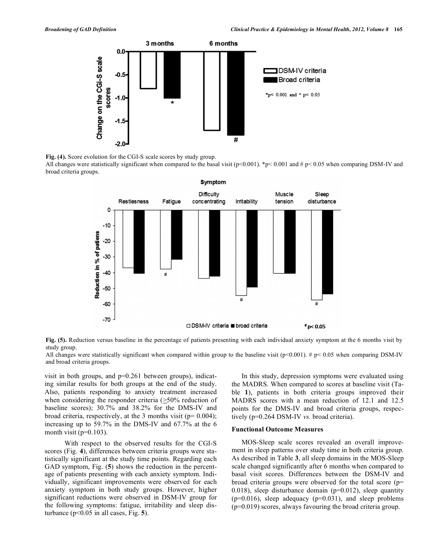

**Fig. (4).** Score evolution for the CGI-S scale scores by study group.

All changes were statistically significant when compared to the basal visit ( $p<0.001$ ). \*p< 0.001 and #  $p<0.05$  when comparing DSM-IV and broad criteria groups.



**Fig. (5).** Reduction versus baseline in the percentage of patients presenting with each individual anxiety symptom at the 6 months visit by study group.

All changes were statistically significant when compared within group to the baseline visit ( $p<0.001$ ). #  $p<0.05$  when comparing DSM-IV and broad criteria groups.

visit in both groups, and  $p=0.261$  between groups), indicating similar results for both groups at the end of the study. Also, patients responding to anxiety treatment increased when considering the responder criteria  $( \geq 50\%$  reduction of baseline scores); 30.7% and 38.2% for the DMS-IV and broad criteria, respectively, at the 3 months visit ( $p= 0.004$ ); increasing up to 59.7% in the DMS-IV and 67.7% at the 6 month visit ( $p=0.103$ ).

With respect to the observed results for the CGI-S scores (Fig. **4**), differences between criteria groups were statistically significant at the study time points. Regarding each GAD symptom, Fig. (**5**) shows the reduction in the percentage of patients presenting with each anxiety symptom. Individually, significant improvements were observed for each anxiety symptom in both study groups. However, higher significant reductions were observed in DSM-IV group for the following symptoms: fatigue, irritability and sleep disturbance (p<0.05 in all cases, Fig. **5**).

In this study, depression symptoms were evaluated using the MADRS. When compared to scores at baseline visit (Table **1**), patients in both criteria groups improved their MADRS scores with a mean reduction of 12.1 and 12.5 points for the DMS-IV and broad criteria groups, respectively (p=0.264 DSM-IV *vs.* broad criteria).

#### **Functional Outcome Measures**

MOS-Sleep scale scores revealed an overall improvement in sleep patterns over study time in both criteria group. As described in Table **3**, all sleep domains in the MOS-Sleep scale changed significantly after 6 months when compared to basal visit scores. Differences between the DSM-IV and broad criteria groups were observed for the total score (p= 0.018), sleep disturbance domain ( $p=0.012$ ), sleep quantity  $(p=0.016)$ , sleep adequacy  $(p=0.031)$ , and sleep problems (p=0.019) scores, always favouring the broad criteria group.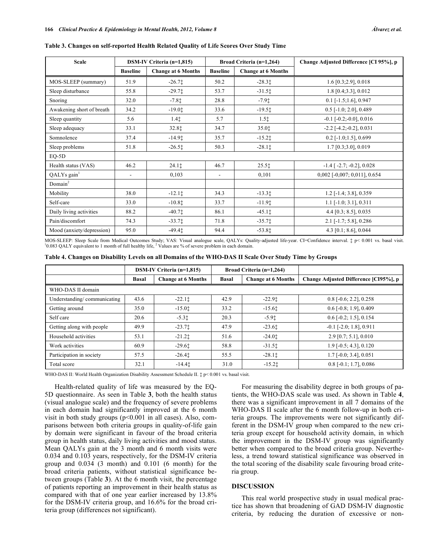| <b>Scale</b>              |                          | DSM-IV Criteria (n=1,815)<br>Broad Criteria (n=1,264) |                          | Change Adjusted Difference [CI 95%], p |                                     |
|---------------------------|--------------------------|-------------------------------------------------------|--------------------------|----------------------------------------|-------------------------------------|
|                           | <b>Baseline</b>          | <b>Change at 6 Months</b>                             | <b>Baseline</b>          | <b>Change at 6 Months</b>              |                                     |
| MOS-SLEEP (summary)       | 51.9                     | $-26.71$                                              | 50.2                     | $-28.31$                               | $1.6$ [0.3;2.9], 0.018              |
| Sleep disturbance         | 55.8                     | $-29.71$                                              | 53.7                     | $-31.51$                               | $1.8$ [0.4;3.3], 0.012              |
| Snoring                   | 32.0                     | $-7.81$                                               | 28.8                     | $-7.91$                                | $0.1$ [-1.5;1.6], 0.947             |
| Awakening short of breath | 34.2                     | $-19.01$                                              | 33.6                     | $-19.5$ <sup>+</sup>                   | $0.5$ [-1.0; 2.0], 0.489            |
| Sleep quantity            | 5.6                      | 1.41                                                  | 5.7                      | $1.5$ $\ddagger$                       | $-0.1$ [ $-0.2$ ; $-0.0$ ], $0.016$ |
| Sleep adequacy            | 33.1                     | 32.81                                                 | 34.7                     | 35.01                                  | $-2.2$ [ $-4.2$ ; $-0.2$ ], $0.031$ |
| Somnolence                | 37.4                     | $-14.91$                                              | 35.7                     | $-15.21$                               | $0.2$ [-1.0;1.5], 0.699             |
| Sleep problems            | 51.8                     | $-26.51$                                              | 50.3                     | $-28.11$                               | $1.7$ [0.3;3.0], 0.019              |
| $EQ-5D$                   |                          |                                                       |                          |                                        |                                     |
| Health status (VAS)       | 46.2                     | 24.11                                                 | 46.7                     | $25.5$ <sup><math>\dagger</math></sup> | $-1.4$ [ $-2.7$ ; $-0.2$ ], 0.028   |
| QALYs gain <sup>1</sup>   | $\overline{\phantom{a}}$ | 0,103                                                 | $\overline{\phantom{a}}$ | 0,101                                  | $0,002$ [-0,007; 0,011], 0.654      |
| Domain <sup>2</sup>       |                          |                                                       |                          |                                        |                                     |
| Mobility                  | 38.0                     | $-12.11$                                              | 34.3                     | $-13.31$                               | $1.2$ [-1.4; 3.8], 0.359            |
| Self-care                 | 33.0                     | $-10.81$                                              | 33.7                     | $-11.91$                               | $1.1$ [-1.0; 3.1], 0.311            |
| Daily living activities   | 88.2                     | $-40.71$                                              | 86.1                     | $-45.11$                               | 4.4 $[0.3; 8.5]$ , 0.035            |
| Pain/discomfort           | 74.3                     | $-33.71$                                              | 71.8                     | $-35.7$ $\dagger$                      | $2.1$ [-1.7; 5.8], 0.286            |
| Mood (anxiety/depression) | 95.0                     | $-49.4t$                                              | 94.4                     | $-53.81$                               | 4.3 [0.1; 8.6], 0.044               |

**Table 3. Changes on self-reported Health Related Quality of Life Scores Over Study Time**

MOS-SLEEP: Sleep Scale from Medical Outcomes Study; VAS: Visual analogue scale, QALYs: Quality-adjusted life-year. CI=Confidence interval.  $\ddagger$  p< 0.001 vs. basal visit.  $^{10.083}$  QALY equivalent to 1 month of full healthy life, <sup>2</sup> Values are % of severe problem in each domain.

| Table 4. Changes on Disability Levels on all Domains of the WHO-DAS II Scale Over Study Time by Groups |  |  |  |  |
|--------------------------------------------------------------------------------------------------------|--|--|--|--|
|                                                                                                        |  |  |  |  |

|                             | DSM-IV Criteria $(n=1,815)$ |                           | <b>Broad Criteria (n=1,264)</b> |                           |                                       |  |  |
|-----------------------------|-----------------------------|---------------------------|---------------------------------|---------------------------|---------------------------------------|--|--|
|                             | <b>Basal</b>                | <b>Change at 6 Months</b> | <b>Basal</b>                    | <b>Change at 6 Months</b> | Change Adjusted Difference [CI95%], p |  |  |
| WHO-DAS II domain           |                             |                           |                                 |                           |                                       |  |  |
| Understanding/communicating | 43.6                        | $-22.11$                  | 42.9                            | $-22.9t$                  | $0.8$ [-0.6; 2.2], 0.258              |  |  |
| Getting around              | 35.0                        | $-15.01$                  | 33.2                            | $-15.61$                  | $0.6$ [-0.8; 1.9], 0.409              |  |  |
| Self care                   | 20.6                        | $-5.31$                   | 20.3                            | $-5.91$                   | $0.6$ [-0.2; 1.5], 0.154              |  |  |
| Getting along with people   | 49.9                        | $-23.71$                  | 47.9                            | $-23.61$                  | $-0.1$ [ $-2.0$ ; 1.8], 0.911         |  |  |
| Household activities        | 53.1                        | $-21.21$                  | 51.6                            | $-24.01$                  | $2.9$ [0.7; 5.1], 0.010               |  |  |
| Work activities             | 60.9                        | $-29.61$                  | 58.8                            | $-31.5$ <sup>t</sup>      | $1.9$ [-0.5; 4.3], 0.120              |  |  |
| Participation in society    | 57.5                        | $-26.4+$                  | 55.5                            | $-28.11$                  | $1.7$ [-0.0; 3.4], 0.051              |  |  |
| Total score                 | 32.1                        | $-14.41$                  | 31.0                            | $-15.21$                  | $0.8$ [-0.1; 1.7], 0.086              |  |  |

WHO-DAS II: World Health Organization Disability Assessment Schedule II.  $\ddagger$  p< 0.001 vs. basal visit.

Health-related quality of life was measured by the EQ-5D questionnaire. As seen in Table **3**, both the health status (visual analogue scale) and the frequency of severe problems in each domain had significantly improved at the 6 month visit in both study groups  $(p<0.001$  in all cases). Also, comparisons between both criteria groups in quality-of-life gain by domain were significant in favour of the broad criteria group in health status, daily living activities and mood status. Mean QALYs gain at the 3 month and 6 month visits were 0.034 and 0.103 years, respectively, for the DSM-IV criteria group and 0.034 (3 month) and 0.101 (6 month) for the broad criteria patients, without statistical significance between groups (Table **3**). At the 6 month visit, the percentage of patients reporting an improvement in their health status as compared with that of one year earlier increased by 13.8% for the DSM-IV criteria group, and 16.6% for the broad criteria group (differences not significant).

For measuring the disability degree in both groups of patients, the WHO-DAS scale was used. As shown in Table **4**, there was a significant improvement in all 7 domains of the WHO-DAS II scale after the 6 month follow-up in both criteria groups. The improvements were not significantly different in the DSM-IV group when compared to the new criteria group except for household activity domain, in which the improvement in the DSM-IV group was significantly better when compared to the broad criteria group. Nevertheless, a trend toward statistical significance was observed in the total scoring of the disability scale favouring broad criteria group.

# **DISCUSSION**

This real world prospective study in usual medical practice has shown that broadening of GAD DSM-IV diagnostic criteria, by reducing the duration of excessive or non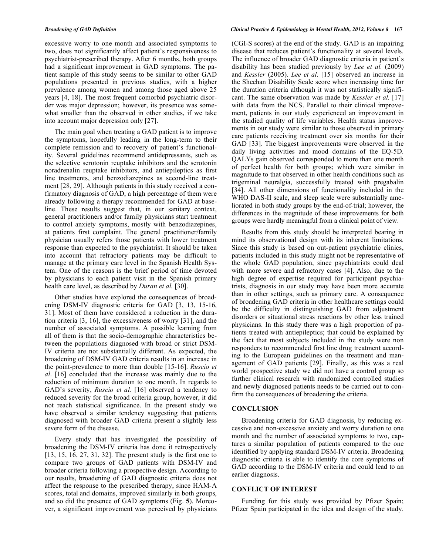excessive worry to one month and associated symptoms to two, does not significantly affect patient's responsiveness to psychiatrist-prescribed therapy. After 6 months, both groups had a significant improvement in GAD symptoms. The patient sample of this study seems to be similar to other GAD populations presented in previous studies, with a higher prevalence among women and among those aged above 25 years [4, 18]. The most frequent comorbid psychiatric disorder was major depression; however, its presence was somewhat smaller than the observed in other studies, if we take into account major depression only [27].

The main goal when treating a GAD patient is to improve the symptoms, hopefully leading in the long-term to their complete remission and to recovery of patient's functionality. Several guidelines recommend antidepressants, such as the selective serotonin reuptake inhibitors and the serotonin noradrenalin reuptake inhibitors, and antiepileptics as first line treatments, and benzodiazepines as second-line treatment [28, 29]. Although patients in this study received a confirmatory diagnosis of GAD, a high percentage of them were already following a therapy recommended for GAD at baseline. These results suggest that, in our sanitary context, general practitioners and/or family physicians start treatment to control anxiety symptoms, mostly with benzodiazepines, at patients first complaint. The general practitioner/family physician usually refers those patients with lower treatment response than expected to the psychiatrist. It should be taken into account that refractory patients may be difficult to manage at the primary care level in the Spanish Health System. One of the reasons is the brief period of time devoted by physicians to each patient visit in the Spanish primary health care level, as described by *Duran et al.* [30].

Other studies have explored the consequences of broadening DSM-IV diagnostic criteria for GAD [3, 13, 15-16, 31]. Most of them have considered a reduction in the duration criteria [3, 16], the excessiveness of worry [31], and the number of associated symptoms. A possible learning from all of them is that the socio-demographic characteristics between the populations diagnosed with broad or strict DSM-IV criteria are not substantially different. As expected, the broadening of DSM-IV GAD criteria results in an increase in the point-prevalence to more than double [15-16]. *Ruscio et al*. [16] concluded that the increase was mainly due to the reduction of minimum duration to one month. In regards to GAD's severity, *Ruscio et al.* [16] observed a tendency to reduced severity for the broad criteria group, however, it did not reach statistical significance. In the present study we have observed a similar tendency suggesting that patients diagnosed with broader GAD criteria present a slightly less severe form of the disease.

Every study that has investigated the possibility of broadening the DSM-IV criteria has done it retrospectively [13, 15, 16, 27, 31, 32]. The present study is the first one to compare two groups of GAD patients with DSM-IV and broader criteria following a prospective design. According to our results, broadening of GAD diagnostic criteria does not affect the response to the prescribed therapy, since HAM-A scores, total and domains, improved similarly in both groups, and so did the presence of GAD symptoms (Fig. **5**). Moreover, a significant improvement was perceived by physicians

#### *Broadening of GAD Definition Clinical Practice & Epidemiology in Mental Health, 2012, Volume 8* **167**

(CGI-S scores) at the end of the study. GAD is an impairing disease that reduces patient's functionality at several levels. The influence of broader GAD diagnostic criteria in patient's disability has been studied previously by *Lee et al.* (2009) and *Kessler* (2005). *Lee et al.* [15] observed an increase in the Sheehan Disability Scale score when increasing time for the duration criteria although it was not statistically significant. The same observation was made by *Kessler et al.* [17] with data from the NCS. Parallel to their clinical improvement, patients in our study experienced an improvement in the studied quality of life variables. Health status improvements in our study were similar to those observed in primary care patients receiving treatment over six months for their GAD [33]. The biggest improvements were observed in the daily living activities and mood domains of the EQ-5D. QALYs gain observed corresponded to more than one month of perfect health for both groups; which were similar in magnitude to that observed in other health conditions such as trigeminal neuralgia, successfully treated with pregabalin [34]. All other dimensions of functionality included in the WHO DAS-II scale, and sleep scale were substantially ameliorated in both study groups by the end-of-trial; however, the differences in the magnitude of these improvements for both groups were hardly meaningful from a clinical point of view.

Results from this study should be interpreted bearing in mind its observational design with its inherent limitations. Since this study is based on out-patient psychiatric clinics, patients included in this study might not be representative of the whole GAD population, since psychiatrists could deal with more severe and refractory cases [4]. Also, due to the high degree of expertise required for participant psychiatrists, diagnosis in our study may have been more accurate than in other settings, such as primary care. A consequence of broadening GAD criteria in other healthcare settings could be the difficulty in distinguishing GAD from adjustment disorders or situational stress reactions by other less trained physicians. In this study there was a high proportion of patients treated with antiepileptics; that could be explained by the fact that most subjects included in the study were non responders to recommended first line drug treatment according to the European guidelines on the treatment and management of GAD patients [29]. Finally, as this was a real world prospective study we did not have a control group so further clinical research with randomized controlled studies and newly diagnosed patients needs to be carried out to confirm the consequences of broadening the criteria.

#### **CONCLUSION**

Broadening criteria for GAD diagnosis, by reducing excessive and non-excessive anxiety and worry duration to one month and the number of associated symptoms to two, captures a similar population of patients compared to the one identified by applying standard DSM-IV criteria. Broadening diagnostic criteria is able to identify the core symptoms of GAD according to the DSM-IV criteria and could lead to an earlier diagnosis.

# **CONFLICT OF INTEREST**

Funding for this study was provided by Pfizer Spain; Pfizer Spain participated in the idea and design of the study.